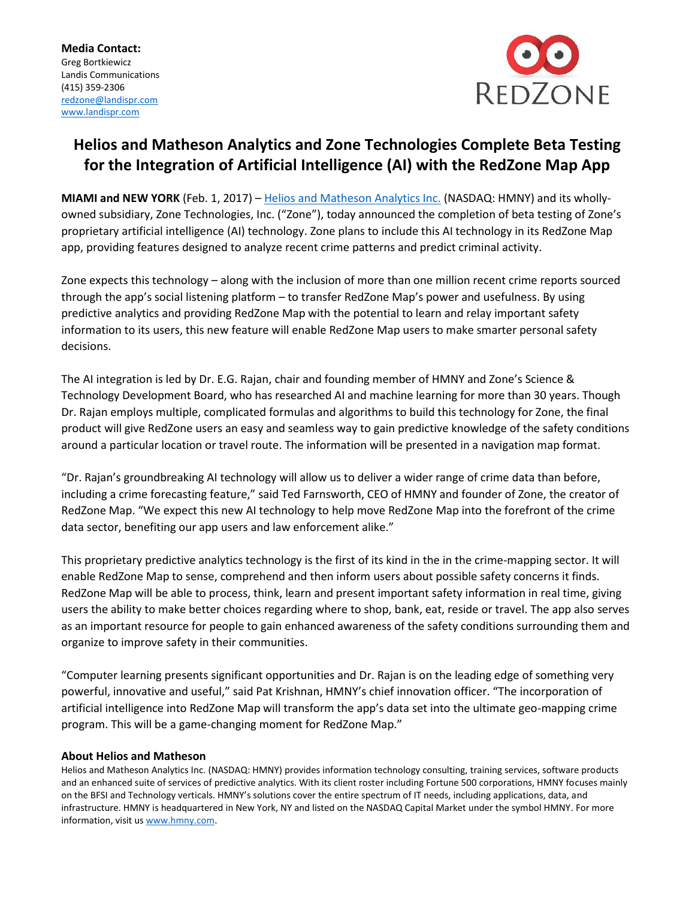

## **Helios and Matheson Analytics and Zone Technologies Complete Beta Testing for the Integration of Artificial Intelligence (AI) with the RedZone Map App**

**MIAMI and NEW YORK** (Feb. 1, 2017) – [Helios and Matheson Analytics Inc.](http://www.hmny.com/) (NASDAQ: HMNY) and its whollyowned subsidiary, Zone Technologies, Inc. ("Zone"), today announced the completion of beta testing of Zone's proprietary artificial intelligence (AI) technology. Zone plans to include this AI technology in its RedZone Map app, providing features designed to analyze recent crime patterns and predict criminal activity.

Zone expects this technology – along with the inclusion of more than one million recent crime reports sourced through the app's social listening platform – to transfer RedZone Map's power and usefulness. By using predictive analytics and providing RedZone Map with the potential to learn and relay important safety information to its users, this new feature will enable RedZone Map users to make smarter personal safety decisions.

The AI integration is led by Dr. E.G. Rajan, chair and founding member of HMNY and Zone's Science & Technology Development Board, who has researched AI and machine learning for more than 30 years. Though Dr. Rajan employs multiple, complicated formulas and algorithms to build this technology for Zone, the final product will give RedZone users an easy and seamless way to gain predictive knowledge of the safety conditions around a particular location or travel route. The information will be presented in a navigation map format.

"Dr. Rajan's groundbreaking AI technology will allow us to deliver a wider range of crime data than before, including a crime forecasting feature," said Ted Farnsworth, CEO of HMNY and founder of Zone, the creator of RedZone Map. "We expect this new AI technology to help move RedZone Map into the forefront of the crime data sector, benefiting our app users and law enforcement alike."

This proprietary predictive analytics technology is the first of its kind in the in the crime-mapping sector. It will enable RedZone Map to sense, comprehend and then inform users about possible safety concerns it finds. RedZone Map will be able to process, think, learn and present important safety information in real time, giving users the ability to make better choices regarding where to shop, bank, eat, reside or travel. The app also serves as an important resource for people to gain enhanced awareness of the safety conditions surrounding them and organize to improve safety in their communities.

"Computer learning presents significant opportunities and Dr. Rajan is on the leading edge of something very powerful, innovative and useful," said Pat Krishnan, HMNY's chief innovation officer. "The incorporation of artificial intelligence into RedZone Map will transform the app's data set into the ultimate geo-mapping crime program. This will be a game-changing moment for RedZone Map."

## **About Helios and Matheson**

Helios and Matheson Analytics Inc. (NASDAQ: HMNY) provides information technology consulting, training services, software products and an enhanced suite of services of predictive analytics. With its client roster including Fortune 500 corporations, HMNY focuses mainly on the BFSI and Technology verticals. HMNY's solutions cover the entire spectrum of IT needs, including applications, data, and infrastructure. HMNY is headquartered in New York, NY and listed on the NASDAQ Capital Market under the symbol HMNY. For more information, visit us [www.hmny.com.](http://www.hmny.com/)